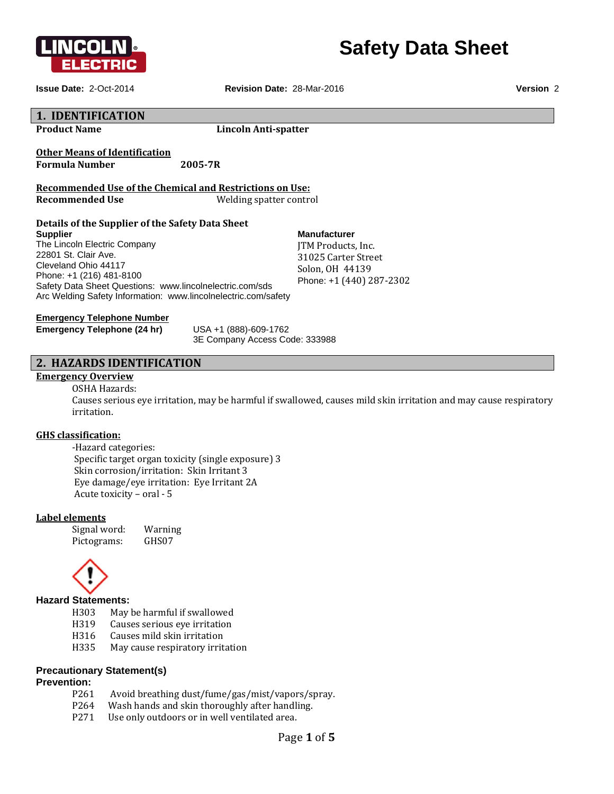



**Issue Date:** 2-Oct-2014 **Revision Date:** 28-Mar-2016 **Version** 2

#### **1. IDENTIFICATION Product Name Lincoln Anti‐spatter Other Means of Identification Formula Number 2005‐7R Recommended Use of the Chemical and Restrictions on Use: Recommended Use** Welding spatter control **Details of the Supplier of the Safety Data Sheet Supplier**  The Lincoln Electric Company 22801 St. Clair Ave. Cleveland Ohio 44117 Phone: +1 (216) 481-8100 Safety Data Sheet Questions: www.lincolnelectric.com/sds Arc Welding Safety Information: www.lincolnelectric.com/safety **Manufacturer** ITM Products, Inc. 31025 Carter Street Solon, OH 44139 Phone: +1 (440) 287-2302 **Emergency Telephone Number Emergency Telephone (24 hr)** USA +1 (888)-609-1762 3E Company Access Code: 333988

## **2. HAZARDS IDENTIFICATION**

## **Emergency Overview**

## OSHA Hazards:

Causes serious eye irritation, may be harmful if swallowed, causes mild skin irritation and may cause respiratory irritation. 

## **GHS classification:**

 ‐Hazard categories: Specific target organ toxicity (single exposure) 3 Skin corrosion/irritation: Skin Irritant 3 Eye damage/eye irritation: Eye Irritant 2A Acute toxicity  $-$  oral  $-5$ 

## **Label elements**

Signal word: Warning Pictograms: GHS07



## **Hazard Statements:**

- H303 May be harmful if swallowed
- H319 Causes serious eye irritation
- H316 Causes mild skin irritation
- H335 May cause respiratory irritation

## **Precautionary Statement(s)**

## **Prevention:**

- P261 Avoid breathing dust/fume/gas/mist/vapors/spray.
- P264 Wash hands and skin thoroughly after handling.
- P271 Use only outdoors or in well ventilated area.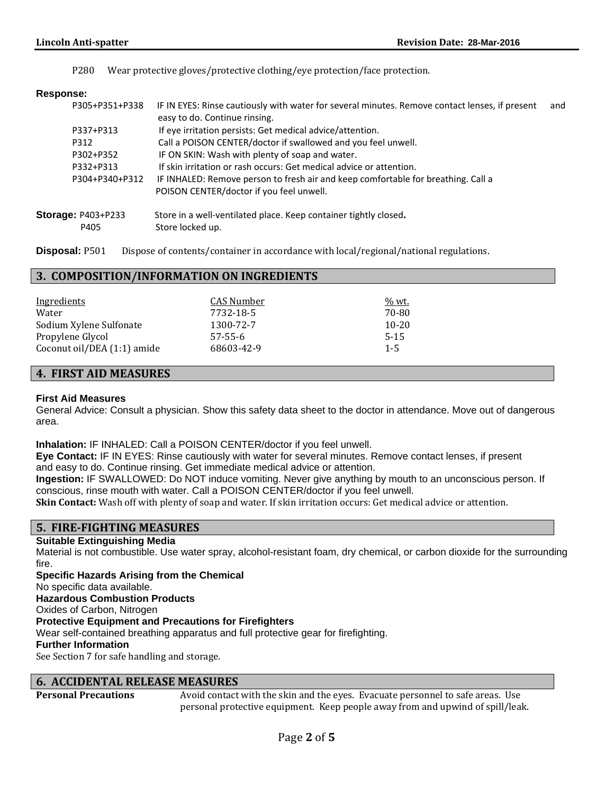P280 Wear protective gloves/protective clothing/eye protection/face protection.

## **Response:**

| P305+P351+P338            | IF IN EYES: Rinse cautiously with water for several minutes. Remove contact lenses, if present<br>easy to do. Continue rinsing. | and |
|---------------------------|---------------------------------------------------------------------------------------------------------------------------------|-----|
| P337+P313                 | If eye irritation persists: Get medical advice/attention.                                                                       |     |
| P312                      | Call a POISON CENTER/doctor if swallowed and you feel unwell.                                                                   |     |
| P302+P352                 | IF ON SKIN: Wash with plenty of soap and water.                                                                                 |     |
| P332+P313                 | If skin irritation or rash occurs: Get medical advice or attention.                                                             |     |
| P304+P340+P312            | IF INHALED: Remove person to fresh air and keep comfortable for breathing. Call a                                               |     |
|                           | POISON CENTER/doctor if you feel unwell.                                                                                        |     |
| <b>Storage: P403+P233</b> | Store in a well-ventilated place. Keep container tightly closed.                                                                |     |
| P405                      | Store locked up.                                                                                                                |     |

**Disposal:** P501 Dispose of contents/container in accordance with local/regional/national regulations.

## **3. COMPOSITION/INFORMATION ON INGREDIENTS**

| <u>Ingredients</u>          | CAS Number    | % wt.     |
|-----------------------------|---------------|-----------|
| Water                       | 7732-18-5     | 70-80     |
| Sodium Xylene Sulfonate     | 1300-72-7     | $10 - 20$ |
| Propylene Glycol            | $57 - 55 - 6$ | $5-15$    |
| Coconut oil/DEA (1:1) amide | 68603-42-9    | $1 - 5$   |

## **4. FIRST AID MEASURES**

## **First Aid Measures**

General Advice: Consult a physician. Show this safety data sheet to the doctor in attendance. Move out of dangerous area.

**Inhalation:** IF INHALED: Call a POISON CENTER/doctor if you feel unwell.

**Eye Contact:** IF IN EYES: Rinse cautiously with water for several minutes. Remove contact lenses, if present and easy to do. Continue rinsing. Get immediate medical advice or attention.

**Ingestion:** IF SWALLOWED: Do NOT induce vomiting. Never give anything by mouth to an unconscious person. If conscious, rinse mouth with water. Call a POISON CENTER/doctor if you feel unwell.

**Skin Contact:** Wash off with plenty of soap and water. If skin irritation occurs: Get medical advice or attention.

## **5. FIRE‐FIGHTING MEASURES**

## **Suitable Extinguishing Media**

Material is not combustible. Use water spray, alcohol-resistant foam, dry chemical, or carbon dioxide for the surrounding fire.

**Specific Hazards Arising from the Chemical**  No specific data available. **Hazardous Combustion Products**  Oxides of Carbon, Nitrogen **Protective Equipment and Precautions for Firefighters**  Wear self-contained breathing apparatus and full protective gear for firefighting. **Further Information**  See Section 7 for safe handling and storage.

## **6. ACCIDENTAL RELEASE MEASURES**

**Personal Precautions** Avoid contact with the skin and the eyes. Evacuate personnel to safe areas. Use personal protective equipment. Keep people away from and upwind of spill/leak.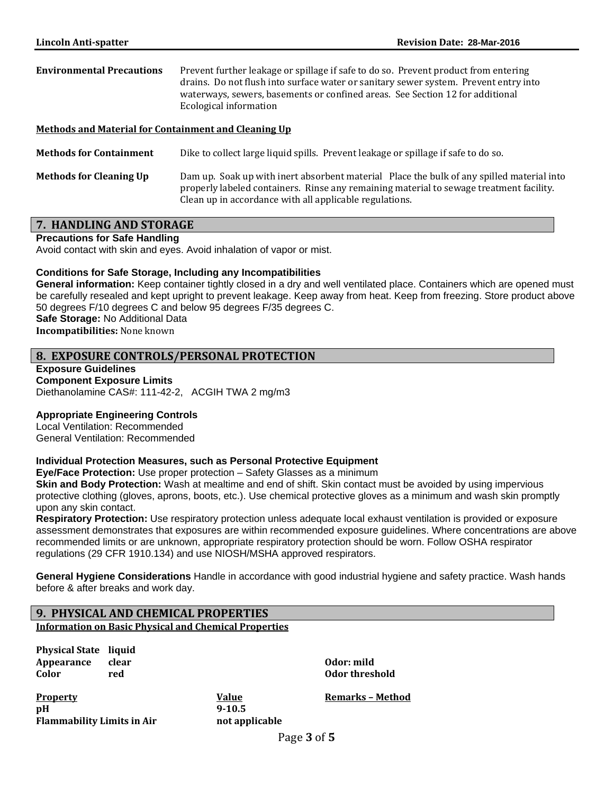**Environmental Precautions** Prevent further leakage or spillage if safe to do so. Prevent product from entering drains. Do not flush into surface water or sanitary sewer system. Prevent entry into waterways, sewers, basements or confined areas. See Section 12 for additional Ecological information

## **Methods and Material for Containment and Cleaning Up**

**Methods for Containment** Dike to collect large liquid spills. Prevent leakage or spillage if safe to do so.

**Methods for Cleaning Up** Dam up. Soak up with inert absorbent material Place the bulk of any spilled material into properly labeled containers. Rinse any remaining material to sewage treatment facility. Clean up in accordance with all applicable regulations.

## **7. HANDLING AND STORAGE**

**Precautions for Safe Handling** 

Avoid contact with skin and eyes. Avoid inhalation of vapor or mist.

#### **Conditions for Safe Storage, Including any Incompatibilities**

**General information:** Keep container tightly closed in a dry and well ventilated place. Containers which are opened must be carefully resealed and kept upright to prevent leakage. Keep away from heat. Keep from freezing. Store product above 50 degrees F/10 degrees C and below 95 degrees F/35 degrees C.

**Safe Storage:** No Additional Data **Incompatibilities:** None known

## **8. EXPOSURE CONTROLS/PERSONAL PROTECTION**

**Exposure Guidelines Component Exposure Limits**  Diethanolamine CAS#: 111-42-2, ACGIH TWA 2 mg/m3

## **Appropriate Engineering Controls**

Local Ventilation: Recommended General Ventilation: Recommended

#### **Individual Protection Measures, such as Personal Protective Equipment**

**Eye/Face Protection:** Use proper protection – Safety Glasses as a minimum

**Skin and Body Protection:** Wash at mealtime and end of shift. Skin contact must be avoided by using impervious protective clothing (gloves, aprons, boots, etc.). Use chemical protective gloves as a minimum and wash skin promptly upon any skin contact.

**Respiratory Protection:** Use respiratory protection unless adequate local exhaust ventilation is provided or exposure assessment demonstrates that exposures are within recommended exposure guidelines. Where concentrations are above recommended limits or are unknown, appropriate respiratory protection should be worn. Follow OSHA respirator regulations (29 CFR 1910.134) and use NIOSH/MSHA approved respirators.

**General Hygiene Considerations** Handle in accordance with good industrial hygiene and safety practice. Wash hands before & after breaks and work day.

## **9. PHYSICAL AND CHEMICAL PROPERTIES**

**Information on Basic Physical and Chemical Properties**

**Physical State liquid Appearance clear Odor: mild Color** *red color* **<b>***red color color color color* **<b>***color color color color* **<b>***color color color color color color* **<b>***color color color color* **<b>***color c* 

**Property Value Remarks – Method pH** 9-10.5 **Flammability Limits in Air not applicable**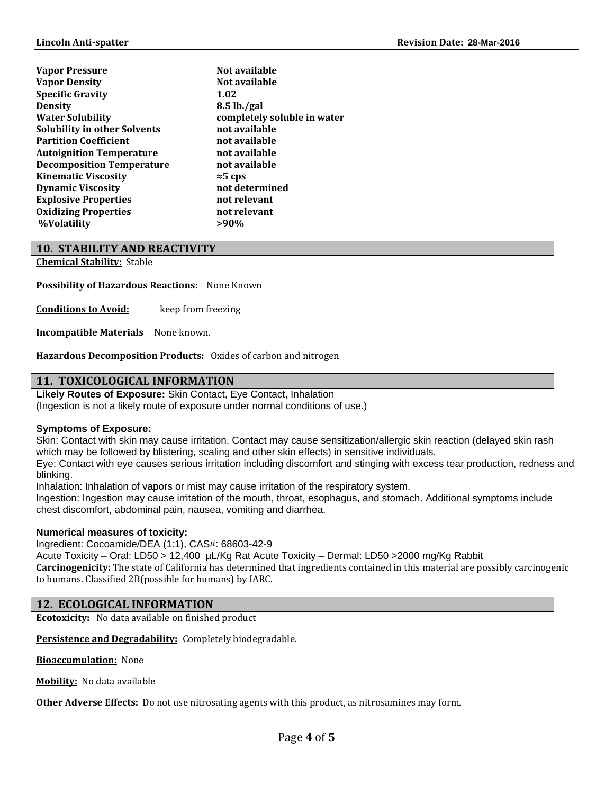| Not available               |
|-----------------------------|
| Not available               |
| 1.02                        |
| $8.5$ lb./gal               |
| completely soluble in water |
| not available               |
| not available               |
| not available               |
| not available               |
| $\approx$ 5 cps             |
| not determined              |
| not relevant                |
| not relevant                |
| >90%                        |
|                             |

## **10. STABILITY AND REACTIVITY**

**Chemical Stability:** Stable 

**Possibility of Hazardous Reactions:** None Known

**Conditions to Avoid:** keep from freezing

**Incompatible Materials** None known.

**Hazardous Decomposition Products:** Oxides of carbon and nitrogen

## **11. TOXICOLOGICAL INFORMATION**

**Likely Routes of Exposure:** Skin Contact, Eye Contact, Inhalation

(Ingestion is not a likely route of exposure under normal conditions of use.)

#### **Symptoms of Exposure:**

Skin: Contact with skin may cause irritation. Contact may cause sensitization/allergic skin reaction (delayed skin rash which may be followed by blistering, scaling and other skin effects) in sensitive individuals.

Eye: Contact with eye causes serious irritation including discomfort and stinging with excess tear production, redness and blinking.

Inhalation: Inhalation of vapors or mist may cause irritation of the respiratory system.

Ingestion: Ingestion may cause irritation of the mouth, throat, esophagus, and stomach. Additional symptoms include chest discomfort, abdominal pain, nausea, vomiting and diarrhea.

## **Numerical measures of toxicity:**

Ingredient: Cocoamide/DEA (1:1), CAS#: 68603-42-9

Acute Toxicity – Oral: LD50 > 12,400 µL/Kg Rat Acute Toxicity – Dermal: LD50 >2000 mg/Kg Rabbit **Carcinogenicity:** The state of California has determined that ingredients contained in this material are possibly carcinogenic to humans. Classified 2B(possible for humans) by IARC.

## **12. ECOLOGICAL INFORMATION**

**Ecotoxicity:** No data available on finished product

Persistence and Degradability: Completely biodegradable.

**Bioaccumulation:** None

**Mobility:** No data available

**Other Adverse Effects:** Do not use nitrosating agents with this product, as nitrosamines may form.